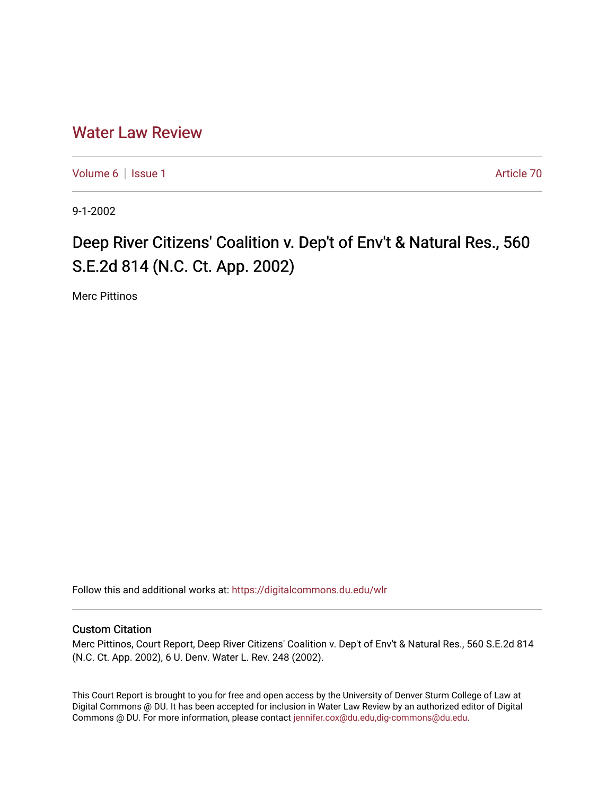## [Water Law Review](https://digitalcommons.du.edu/wlr)

[Volume 6](https://digitalcommons.du.edu/wlr/vol6) | [Issue 1](https://digitalcommons.du.edu/wlr/vol6/iss1) Article 70

9-1-2002

## Deep River Citizens' Coalition v. Dep't of Env't & Natural Res., 560 S.E.2d 814 (N.C. Ct. App. 2002)

Merc Pittinos

Follow this and additional works at: [https://digitalcommons.du.edu/wlr](https://digitalcommons.du.edu/wlr?utm_source=digitalcommons.du.edu%2Fwlr%2Fvol6%2Fiss1%2F70&utm_medium=PDF&utm_campaign=PDFCoverPages) 

## Custom Citation

Merc Pittinos, Court Report, Deep River Citizens' Coalition v. Dep't of Env't & Natural Res., 560 S.E.2d 814 (N.C. Ct. App. 2002), 6 U. Denv. Water L. Rev. 248 (2002).

This Court Report is brought to you for free and open access by the University of Denver Sturm College of Law at Digital Commons @ DU. It has been accepted for inclusion in Water Law Review by an authorized editor of Digital Commons @ DU. For more information, please contact [jennifer.cox@du.edu,dig-commons@du.edu.](mailto:jennifer.cox@du.edu,dig-commons@du.edu)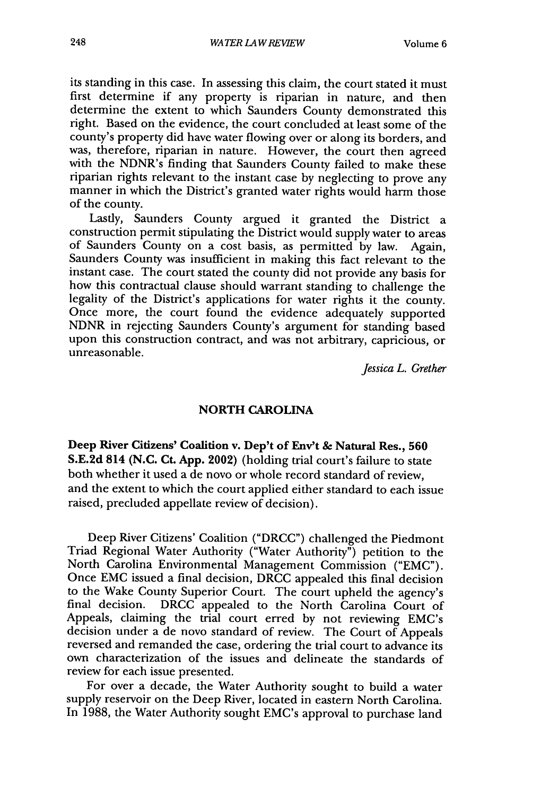its standing in this case. In assessing this claim, the court stated it must first determine if any property is riparian in nature, and then determine the extent to which Saunders County demonstrated this right. Based on the evidence, the court concluded at least some of the county's property did have water flowing over or along its borders, and was, therefore, riparian in nature. However, the court then agreed with the NDNR's finding that Saunders County failed to make these riparian rights relevant to the instant case by neglecting to prove any manner in which the District's granted water rights would harm those of the county.

Lastly, Saunders County argued it granted the District a construction permit stipulating the District would supply water to areas of Saunders County on a cost basis, as permitted by law. Again, Saunders County was insufficient in making this fact relevant to the instant case. The court stated the county did not provide any basis for how this contractual clause should warrant standing to challenge the legality of the District's applications for water rights it the county. Once more, the court found the evidence adequately supported NDNR in rejecting Saunders County's argument for standing based upon this construction contract, and was not arbitrary, capricious, or unreasonable.

*Jessica L. Grether*

## **NORTH CAROLINA**

Deep River Citizens' Coalition **v.** Dep't of Env't **&** Natural **Res., 560 S.E.2d 814 (N.C. Ct. App. 2002)** (holding trial court's failure to state both whether it used a de novo or whole record standard of review, and the extent to which the court applied either standard to each issue raised, precluded appellate review of decision).

Deep River Citizens' Coalition ("DRCC") challenged the Piedmont Triad Regional Water Authority ("Water Authority") petition to the North Carolina Environmental Management Commission ("EMC"). Once EMC issued a final decision, DRCC appealed this final decision to the Wake County Superior Court. The court upheld the agency's final decision. DRCC appealed to the North Carolina Court of Appeals, claiming the trial court erred by not reviewing EMC's decision under a de novo standard of review. The Court of Appeals reversed and remanded the case, ordering the trial court to advance its own characterization of the issues and delineate the standards of review for each issue presented.

For over a decade, the Water Authority sought to build a water supply reservoir on the Deep River, located in eastern North Carolina. In 1988, the Water Authority sought EMC's approval to purchase land